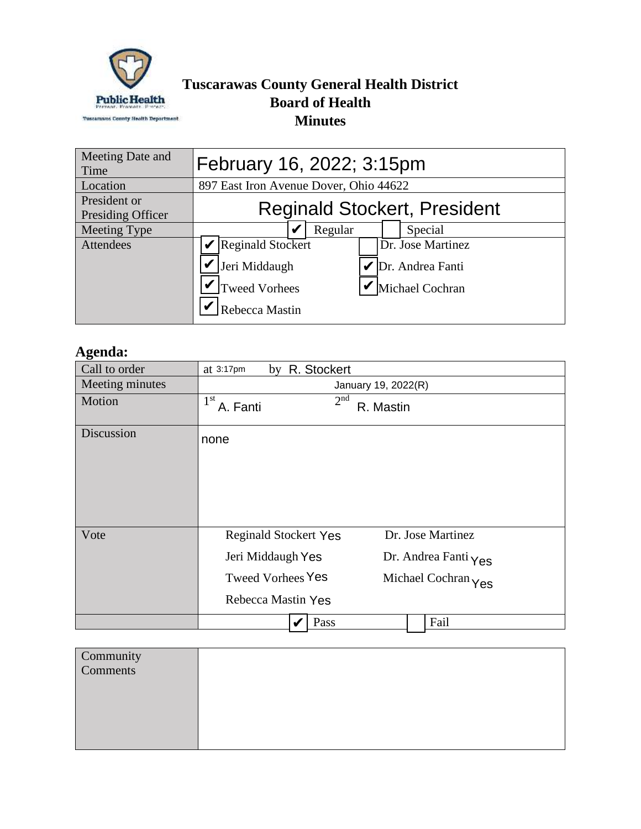

## **Tuscarawas County General Health District Board of Health Minutes**

| Meeting Date and<br>Time          | February 16, 2022; 3:15pm                                                                                                         |  |  |  |
|-----------------------------------|-----------------------------------------------------------------------------------------------------------------------------------|--|--|--|
| Location                          | 897 East Iron Avenue Dover, Ohio 44622                                                                                            |  |  |  |
| President or<br>Presiding Officer | <b>Reginald Stockert, President</b>                                                                                               |  |  |  |
| Meeting Type                      | Regular<br>Special                                                                                                                |  |  |  |
| <b>Attendees</b>                  | Reginald Stockert<br>Dr. Jose Martinez<br>Jeri Middaugh<br>Dr. Andrea Fanti<br>Tweed Vorhees<br>Michael Cochran<br>Rebecca Mastin |  |  |  |

## **Agenda:**

| Call to order   | by R. Stockert<br>at $3:17$ pm                                                                                                                                          |
|-----------------|-------------------------------------------------------------------------------------------------------------------------------------------------------------------------|
| Meeting minutes | January 19, 2022(R)                                                                                                                                                     |
| Motion          | 2 <sup>nd</sup><br>$1^{\rm{st}}$<br>A. Fanti<br>R. Mastin                                                                                                               |
| Discussion      | none                                                                                                                                                                    |
| Vote            | Dr. Jose Martinez<br><b>Reginald Stockert Yes</b><br>Jeri Middaugh Yes<br>Dr. Andrea Fanti Yes<br><b>Tweed Vorhees Yes</b><br>Michael Cochran Yes<br>Rebecca Mastin Yes |
|                 | Fail<br>Pass                                                                                                                                                            |

| Community<br>Comments |  |
|-----------------------|--|
|                       |  |
|                       |  |
|                       |  |
|                       |  |
|                       |  |
|                       |  |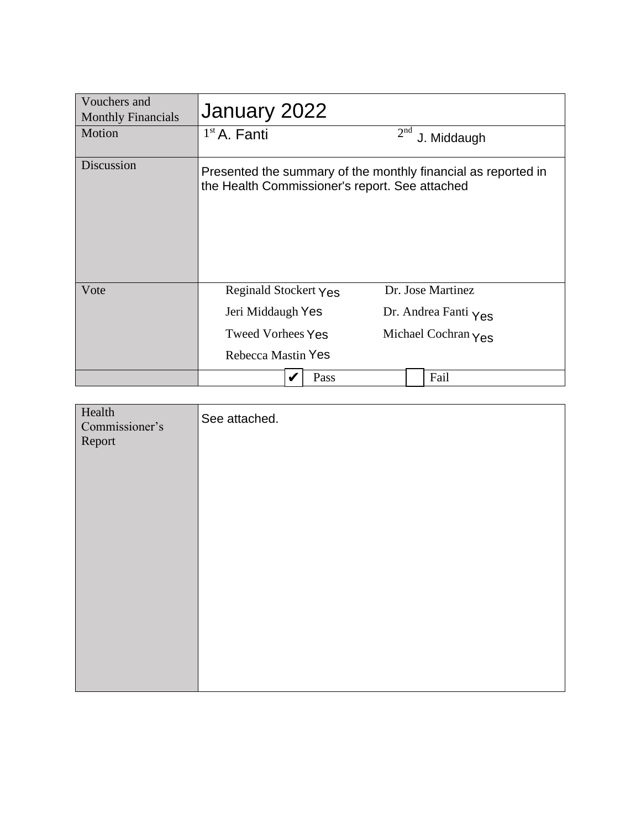| Vouchers and<br><b>Monthly Financials</b> | January 2022                                   |      |                 |                                                               |
|-------------------------------------------|------------------------------------------------|------|-----------------|---------------------------------------------------------------|
| Motion                                    | $1st$ A. Fanti                                 |      | 2 <sup>nd</sup> | J. Middaugh                                                   |
| Discussion                                | the Health Commissioner's report. See attached |      |                 | Presented the summary of the monthly financial as reported in |
| Vote                                      | Reginald Stockert Yes                          |      |                 | Dr. Jose Martinez                                             |
|                                           | Jeri Middaugh Yes                              |      |                 | Dr. Andrea Fanti $Y_{\text{ES}}$                              |
|                                           | <b>Tweed Vorhees Yes</b>                       |      |                 | Michael Cochran $\gamma$ es                                   |
|                                           | Rebecca Mastin Yes                             |      |                 |                                                               |
|                                           |                                                | Pass |                 | Fail                                                          |

| Health<br>Commissioner's<br>Report | See attached. |
|------------------------------------|---------------|
|                                    |               |
|                                    |               |
|                                    |               |
|                                    |               |
|                                    |               |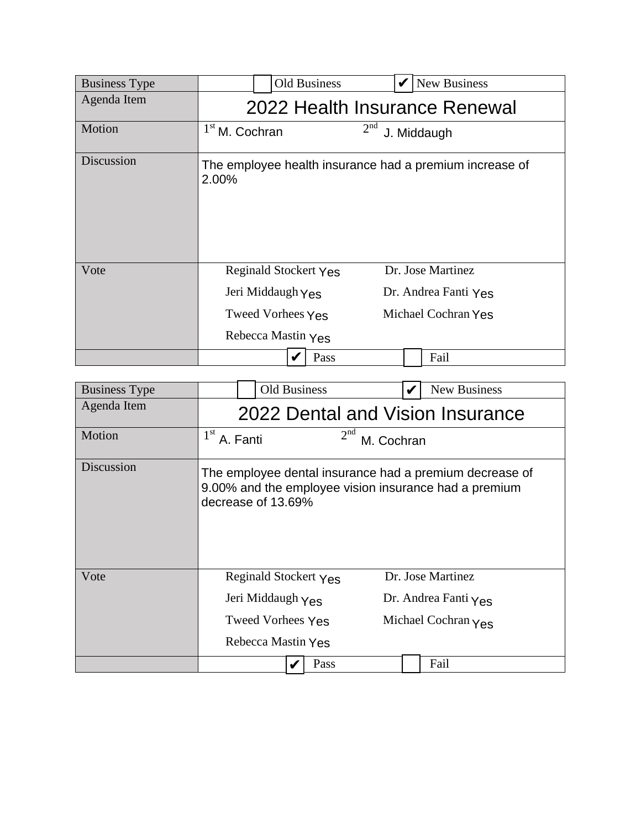| <b>Business Type</b> | <b>Old Business</b>                                                                          | New Business                                                     |  |  |
|----------------------|----------------------------------------------------------------------------------------------|------------------------------------------------------------------|--|--|
| Agenda Item          | 2022 Health Insurance Renewal                                                                |                                                                  |  |  |
| Motion               | $1st$ M. Cochran                                                                             | 2 <sup>nd</sup><br>J. Middaugh                                   |  |  |
| Discussion           | 2.00%                                                                                        | The employee health insurance had a premium increase of          |  |  |
| Vote                 | <b>Reginald Stockert Yes</b><br>Jeri Middaugh Yes<br>Tweed Vorhees Yes<br>Rebecca Mastin Yes | Dr. Jose Martinez<br>Dr. Andrea Fanti Yes<br>Michael Cochran Yes |  |  |
|                      | Pass                                                                                         | Fail                                                             |  |  |

| <b>Business Type</b> | <b>Old Business</b>                                              | <b>New Business</b>                                                                                              |  |  |
|----------------------|------------------------------------------------------------------|------------------------------------------------------------------------------------------------------------------|--|--|
| Agenda Item          | 2022 Dental and Vision Insurance                                 |                                                                                                                  |  |  |
| Motion               | $1st$ A. Fanti<br>2 <sup>nd</sup><br>M. Cochran                  |                                                                                                                  |  |  |
| Discussion           | decrease of 13.69%                                               | The employee dental insurance had a premium decrease of<br>9.00% and the employee vision insurance had a premium |  |  |
| Vote                 | Reginald Stockert Yes                                            | Dr. Jose Martinez                                                                                                |  |  |
|                      | Jeri Middaugh Yes                                                | Dr. Andrea Fanti $Y_{\text{ES}}$                                                                                 |  |  |
|                      | <b>Tweed Vorhees Yes</b><br>Michael Cochran $\gamma_{\text{ES}}$ |                                                                                                                  |  |  |
|                      | Rebecca Mastin Yes                                               |                                                                                                                  |  |  |
|                      | Pass                                                             | Fail                                                                                                             |  |  |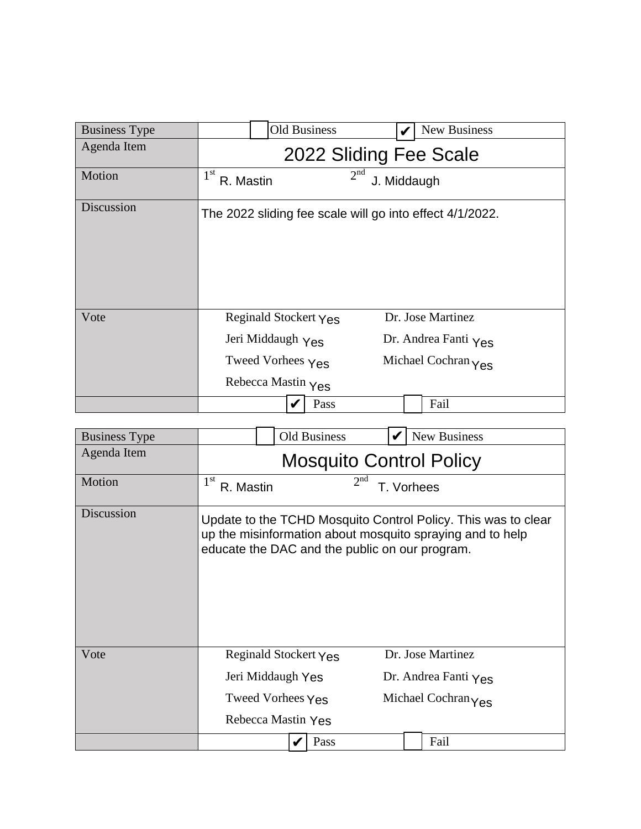| <b>Business Type</b> | Old Business                                                                               | New Business                                                     |  |  |
|----------------------|--------------------------------------------------------------------------------------------|------------------------------------------------------------------|--|--|
| Agenda Item          | 2022 Sliding Fee Scale                                                                     |                                                                  |  |  |
| Motion               | 1 <sup>st</sup><br>R. Mastin                                                               | 2 <sup>nd</sup><br>J. Middaugh                                   |  |  |
| Discussion           | The 2022 sliding fee scale will go into effect 4/1/2022.                                   |                                                                  |  |  |
| Vote                 | Reginald Stockert Yes<br>Jeri Middaugh Yes<br>Tweed Vorhees $Y_{ES}$<br>Rebecca Mastin Yes | Dr. Jose Martinez<br>Dr. Andrea Fanti Yes<br>Michael Cochran Yes |  |  |
|                      | Pass                                                                                       | Fail                                                             |  |  |

| <b>Business Type</b> |                                | <b>Old Business</b>                            |                 | New Business                                                                                                               |
|----------------------|--------------------------------|------------------------------------------------|-----------------|----------------------------------------------------------------------------------------------------------------------------|
| Agenda Item          | <b>Mosquito Control Policy</b> |                                                |                 |                                                                                                                            |
| Motion               | 1 <sup>st</sup><br>R. Mastin   |                                                | 2 <sup>nd</sup> | T. Vorhees                                                                                                                 |
| Discussion           |                                | educate the DAC and the public on our program. |                 | Update to the TCHD Mosquito Control Policy. This was to clear<br>up the misinformation about mosquito spraying and to help |
| Vote                 |                                | Reginald Stockert Yes                          |                 | Dr. Jose Martinez                                                                                                          |
|                      |                                | Jeri Middaugh Yes                              |                 | Dr. Andrea Fanti $\gamma_{\text{ES}}$                                                                                      |
|                      |                                | Tweed Vorhees Yes                              |                 | Michael Cochran Yes                                                                                                        |
|                      |                                | Rebecca Mastin Yes                             |                 |                                                                                                                            |
|                      |                                | Pass                                           |                 | Fail                                                                                                                       |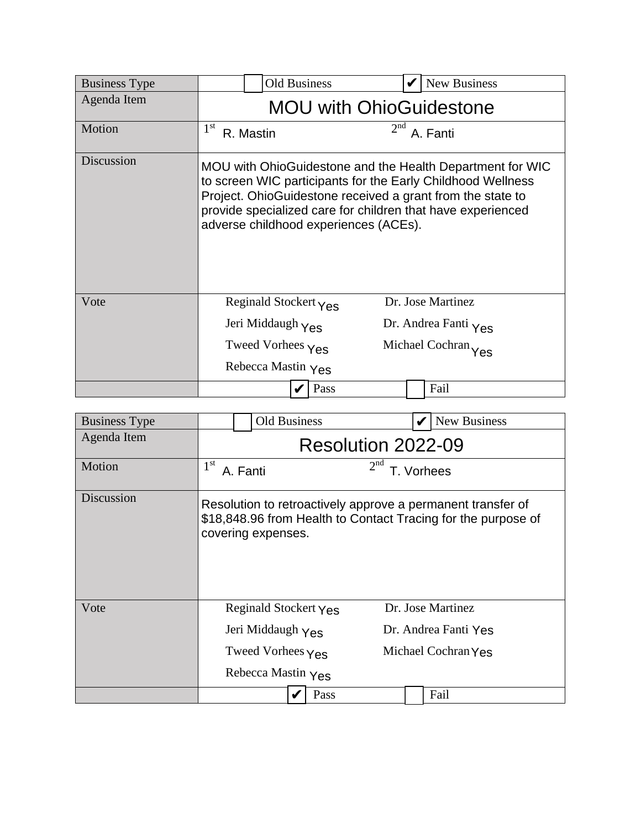| <b>Business Type</b> |                                | <b>Old Business</b>                    |                 |          | New Business                                                                                                                                                                                                                                          |
|----------------------|--------------------------------|----------------------------------------|-----------------|----------|-------------------------------------------------------------------------------------------------------------------------------------------------------------------------------------------------------------------------------------------------------|
| Agenda Item          | <b>MOU with OhioGuidestone</b> |                                        |                 |          |                                                                                                                                                                                                                                                       |
| Motion               | 1 <sup>st</sup><br>R. Mastin   |                                        | 2 <sup>nd</sup> | A. Fanti |                                                                                                                                                                                                                                                       |
| Discussion           |                                | adverse childhood experiences (ACEs).  |                 |          | MOU with OhioGuidestone and the Health Department for WIC<br>to screen WIC participants for the Early Childhood Wellness<br>Project. OhioGuidestone received a grant from the state to<br>provide specialized care for children that have experienced |
| Vote                 |                                | Reginald Stockert $\gamma_{\text{ES}}$ |                 |          | Dr. Jose Martinez                                                                                                                                                                                                                                     |
|                      |                                | Jeri Middaugh Yes                      |                 |          | Dr. Andrea Fanti Yes                                                                                                                                                                                                                                  |
|                      |                                | Tweed Vorhees Yes                      |                 |          | Michael Cochran Yes                                                                                                                                                                                                                                   |
|                      |                                | Rebecca Mastin Yes                     |                 |          |                                                                                                                                                                                                                                                       |
|                      |                                | Pass                                   |                 |          | Fail                                                                                                                                                                                                                                                  |

| <b>Business Type</b> | <b>Old Business</b>                |                     | New Business                                                                                                                 |  |
|----------------------|------------------------------------|---------------------|------------------------------------------------------------------------------------------------------------------------------|--|
| Agenda Item          | Resolution 2022-09                 |                     |                                                                                                                              |  |
| Motion               | $1^{\rm st}$<br>A. Fanti           | 2 <sup>nd</sup>     | Vorhees                                                                                                                      |  |
| Discussion           | covering expenses.                 |                     | Resolution to retroactively approve a permanent transfer of<br>\$18,848.96 from Health to Contact Tracing for the purpose of |  |
| Vote                 | Reginald Stockert Yes              |                     | Dr. Jose Martinez                                                                                                            |  |
|                      | Jeri Middaugh Yes                  |                     | Dr. Andrea Fanti Yes                                                                                                         |  |
|                      | Tweed Vorhees $\gamma_{\text{ES}}$ | Michael Cochran Yes |                                                                                                                              |  |
|                      | Rebecca Mastin Yes                 |                     |                                                                                                                              |  |
|                      |                                    | Pass                | Fail                                                                                                                         |  |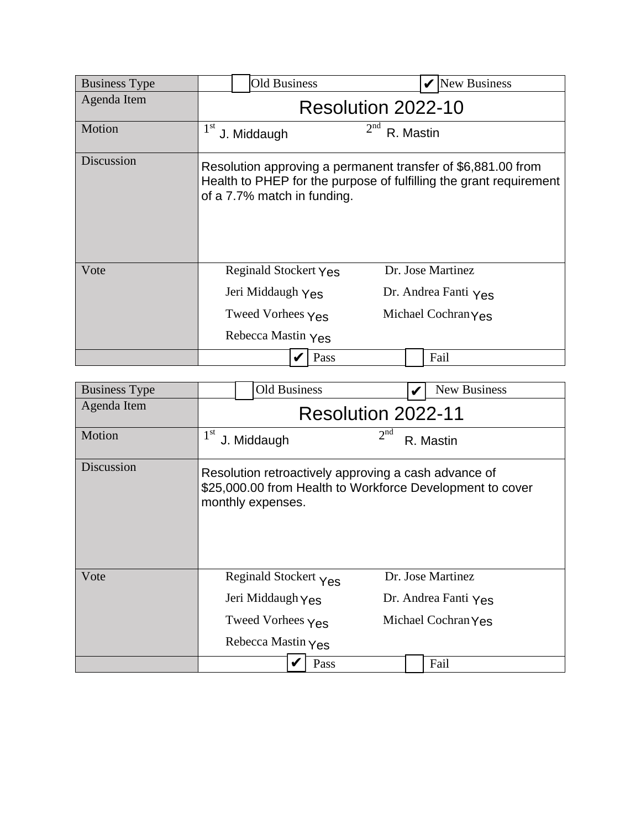| <b>Business Type</b> | <b>Old Business</b>            | <b>New Business</b>                                                                                                                |  |  |  |
|----------------------|--------------------------------|------------------------------------------------------------------------------------------------------------------------------------|--|--|--|
| Agenda Item          | Resolution 2022-10             |                                                                                                                                    |  |  |  |
| Motion               | 1 <sup>st</sup><br>J. Middaugh | 2 <sup>nd</sup><br>R. Mastin                                                                                                       |  |  |  |
| Discussion           | of a 7.7% match in funding.    | Resolution approving a permanent transfer of \$6,881.00 from<br>Health to PHEP for the purpose of fulfilling the grant requirement |  |  |  |
| Vote                 | Reginald Stockert Yes          | Dr. Jose Martinez                                                                                                                  |  |  |  |
|                      | Jeri Middaugh Yes              | Dr. Andrea Fanti $Y_{\text{ES}}$                                                                                                   |  |  |  |
|                      | Tweed Vorhees Yes              | Michael Cochran Yes                                                                                                                |  |  |  |
|                      | Rebecca Mastin Yes             |                                                                                                                                    |  |  |  |
|                      | Pass                           | Fail                                                                                                                               |  |  |  |

| <b>Business Type</b> | Old Business                                                                                                                           | New Business                 |  |  |  |  |  |
|----------------------|----------------------------------------------------------------------------------------------------------------------------------------|------------------------------|--|--|--|--|--|
| Agenda Item          | Resolution 2022-11                                                                                                                     |                              |  |  |  |  |  |
| Motion               | 1 <sup>st</sup><br>J. Middaugh                                                                                                         | 2 <sup>nd</sup><br>R. Mastin |  |  |  |  |  |
| Discussion           | Resolution retroactively approving a cash advance of<br>\$25,000.00 from Health to Workforce Development to cover<br>monthly expenses. |                              |  |  |  |  |  |
| Vote                 | Reginald Stockert Yes                                                                                                                  | Dr. Jose Martinez            |  |  |  |  |  |
|                      | Jeri Middaugh Yes                                                                                                                      | Dr. Andrea Fanti Yes         |  |  |  |  |  |
|                      | Tweed Vorhees Yes                                                                                                                      | Michael Cochran Yes          |  |  |  |  |  |
|                      | Rebecca Mastin $Y_{\text{ES}}$                                                                                                         |                              |  |  |  |  |  |
|                      | Pass                                                                                                                                   | Fail                         |  |  |  |  |  |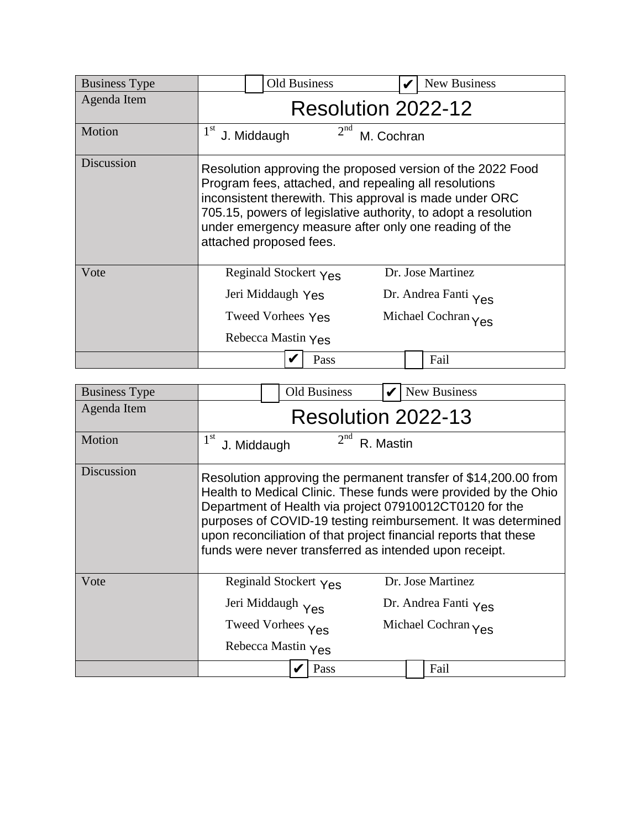| <b>Business Type</b> | <b>Old Business</b>                                                                   | <b>New Business</b>                                                                                                                                                                                                                                                                                       |  |  |  |  |  |
|----------------------|---------------------------------------------------------------------------------------|-----------------------------------------------------------------------------------------------------------------------------------------------------------------------------------------------------------------------------------------------------------------------------------------------------------|--|--|--|--|--|
| Agenda Item          | Resolution 2022-12                                                                    |                                                                                                                                                                                                                                                                                                           |  |  |  |  |  |
| Motion               | 2 <sup>nd</sup><br>1 <sup>st</sup><br>J. Middaugh<br>M. Cochran                       |                                                                                                                                                                                                                                                                                                           |  |  |  |  |  |
| Discussion           | attached proposed fees.                                                               | Resolution approving the proposed version of the 2022 Food<br>Program fees, attached, and repealing all resolutions<br>inconsistent therewith. This approval is made under ORC<br>705.15, powers of legislative authority, to adopt a resolution<br>under emergency measure after only one reading of the |  |  |  |  |  |
| Vote                 | Reginald Stockert Yes<br>Jeri Middaugh Yes<br>Tweed Vorhees Yes<br>Rebecca Mastin Yes | Dr. Jose Martinez<br>Dr. Andrea Fanti Yes<br>Michael Cochran Yes                                                                                                                                                                                                                                          |  |  |  |  |  |
|                      | Pass                                                                                  | Fail                                                                                                                                                                                                                                                                                                      |  |  |  |  |  |

| <b>Business Type</b> | Old Business<br>New Business                                                                                                                                                                                                                                                                                                                                                                 |  |  |  |  |  |
|----------------------|----------------------------------------------------------------------------------------------------------------------------------------------------------------------------------------------------------------------------------------------------------------------------------------------------------------------------------------------------------------------------------------------|--|--|--|--|--|
| Agenda Item          | Resolution 2022-13                                                                                                                                                                                                                                                                                                                                                                           |  |  |  |  |  |
| Motion               | 2 <sup>nd</sup><br>$1^{\rm st}$<br>R. Mastin<br>J. Middaugh                                                                                                                                                                                                                                                                                                                                  |  |  |  |  |  |
| Discussion           | Resolution approving the permanent transfer of \$14,200.00 from<br>Health to Medical Clinic. These funds were provided by the Ohio<br>Department of Health via project 07910012CT0120 for the<br>purposes of COVID-19 testing reimbursement. It was determined<br>upon reconciliation of that project financial reports that these<br>funds were never transferred as intended upon receipt. |  |  |  |  |  |
| Vote                 | Dr. Jose Martinez<br>Reginald Stockert Yes<br>Jeri Middaugh Yes<br>Dr. Andrea Fanti $\gamma_{\text{ES}}$<br>Tweed Vorhees Yes<br>Michael Cochran Yes<br>Rebecca Mastin Yes                                                                                                                                                                                                                   |  |  |  |  |  |
|                      | Pass<br>Fail                                                                                                                                                                                                                                                                                                                                                                                 |  |  |  |  |  |
|                      |                                                                                                                                                                                                                                                                                                                                                                                              |  |  |  |  |  |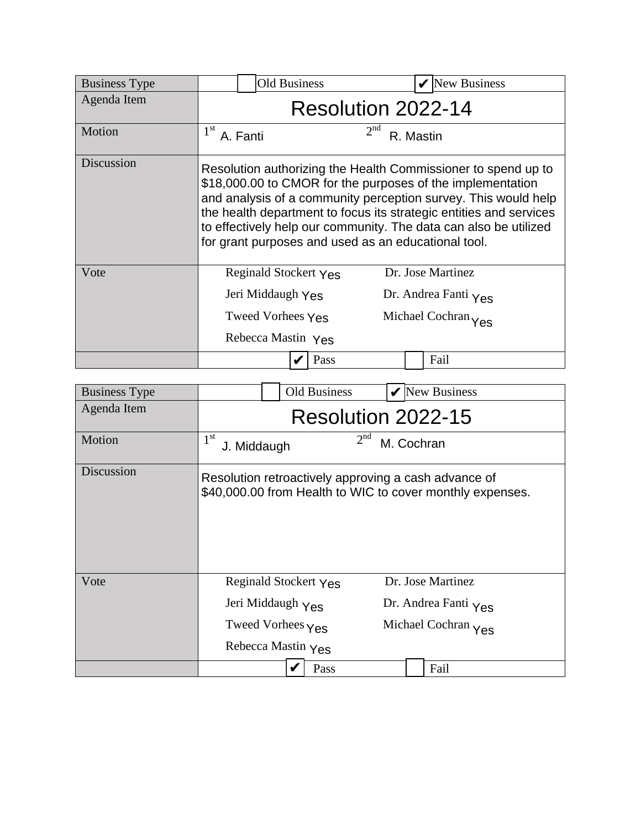| <b>Business Type</b> | <b>Old Business</b>                                                                                                                                                                                                                                                                                                                                                                            | <b>New Business</b>                                              |  |  |  |  |  |
|----------------------|------------------------------------------------------------------------------------------------------------------------------------------------------------------------------------------------------------------------------------------------------------------------------------------------------------------------------------------------------------------------------------------------|------------------------------------------------------------------|--|--|--|--|--|
| Agenda Item          | Resolution 2022-14                                                                                                                                                                                                                                                                                                                                                                             |                                                                  |  |  |  |  |  |
| Motion               | 2 <sup>nd</sup><br>1 <sup>st</sup><br>A. Fanti<br>R. Mastin                                                                                                                                                                                                                                                                                                                                    |                                                                  |  |  |  |  |  |
| Discussion           | Resolution authorizing the Health Commissioner to spend up to<br>\$18,000.00 to CMOR for the purposes of the implementation<br>and analysis of a community perception survey. This would help<br>the health department to focus its strategic entities and services<br>to effectively help our community. The data can also be utilized<br>for grant purposes and used as an educational tool. |                                                                  |  |  |  |  |  |
| Vote                 | Reginald Stockert Yes<br>Jeri Middaugh Yes<br>Tweed Vorhees Yes<br>Rebecca Mastin Yes                                                                                                                                                                                                                                                                                                          | Dr. Jose Martinez<br>Dr. Andrea Fanti Yes<br>Michael Cochran Yes |  |  |  |  |  |
|                      | Pass                                                                                                                                                                                                                                                                                                                                                                                           | Fail                                                             |  |  |  |  |  |

| <b>Business Type</b> |                                                                | <b>Old Business</b> |            | <b>New Business</b>                                       |  |  |
|----------------------|----------------------------------------------------------------|---------------------|------------|-----------------------------------------------------------|--|--|
| Agenda Item          | Resolution 2022-15                                             |                     |            |                                                           |  |  |
| Motion               | 1 <sup>st</sup><br>J. Middaugh                                 | 2 <sup>nd</sup>     | M. Cochran |                                                           |  |  |
| Discussion           | Resolution retroactively approving a cash advance of           |                     |            | \$40,000.00 from Health to WIC to cover monthly expenses. |  |  |
| Vote                 | Reginald Stockert Yes<br>Jeri Middaugh Yes                     |                     |            | Dr. Jose Martinez<br>Dr. Andrea Fanti Yes                 |  |  |
|                      | Tweed Vorhees Yes<br>Michael Cochran Yes<br>Rebecca Mastin Yes |                     |            |                                                           |  |  |
|                      |                                                                | Pass                |            | Fail                                                      |  |  |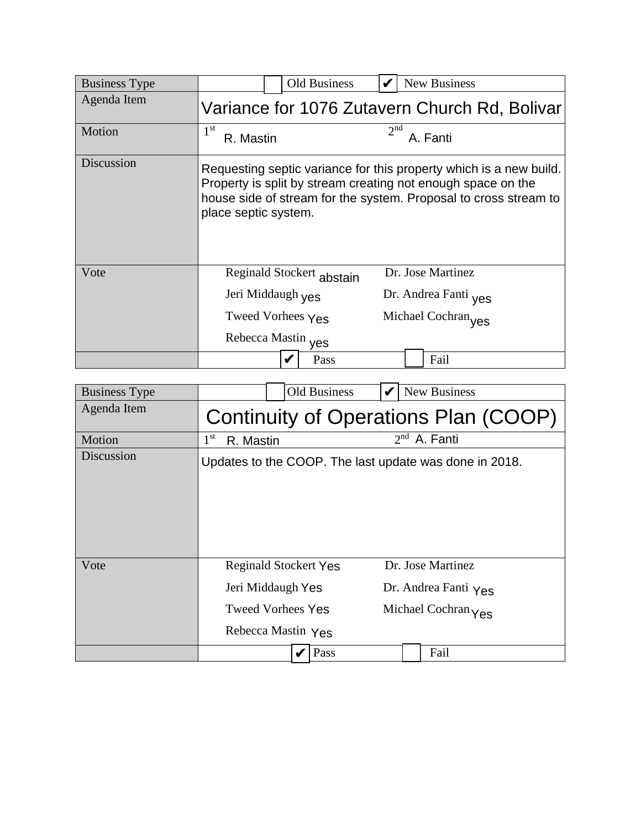| <b>Business Type</b> |                               | Old Business              |                 | New Business                                                                                                                                                                                           |
|----------------------|-------------------------------|---------------------------|-----------------|--------------------------------------------------------------------------------------------------------------------------------------------------------------------------------------------------------|
| Agenda Item          |                               |                           |                 | Variance for 1076 Zutavern Church Rd, Bolivar                                                                                                                                                          |
| Motion               | $1^{\rm st}$<br>R. Mastin     |                           | 2 <sup>nd</sup> | A. Fanti                                                                                                                                                                                               |
| Discussion           | place septic system.          |                           |                 | Requesting septic variance for this property which is a new build.<br>Property is split by stream creating not enough space on the<br>house side of stream for the system. Proposal to cross stream to |
| Vote                 |                               | Reginald Stockert abstain |                 | Dr. Jose Martinez                                                                                                                                                                                      |
|                      | Jeri Middaugh <sub>Ves</sub>  |                           |                 | Dr. Andrea Fanti ves                                                                                                                                                                                   |
|                      | Tweed Vorhees $Y_{\text{ES}}$ |                           |                 | Michael Cochran <sub>ves</sub>                                                                                                                                                                         |
|                      | Rebecca Mastin yes            |                           |                 |                                                                                                                                                                                                        |
|                      |                               | Pass                      |                 | Fail                                                                                                                                                                                                   |

| <b>Business Type</b> |                                      | <b>Old Business</b>                                                                                 |  | New Business                                                     |  |  |  |
|----------------------|--------------------------------------|-----------------------------------------------------------------------------------------------------|--|------------------------------------------------------------------|--|--|--|
| Agenda Item          | Continuity of Operations Plan (COOP) |                                                                                                     |  |                                                                  |  |  |  |
| Motion               | $1^{\rm st}$<br>R. Mastin            |                                                                                                     |  | $2nd$ A. Fanti                                                   |  |  |  |
| Discussion           |                                      |                                                                                                     |  | Updates to the COOP. The last update was done in 2018.           |  |  |  |
| Vote                 |                                      | <b>Reginald Stockert Yes</b><br>Jeri Middaugh Yes<br><b>Tweed Vorhees Yes</b><br>Rebecca Mastin Yes |  | Dr. Jose Martinez<br>Dr. Andrea Fanti Yes<br>Michael Cochran Yes |  |  |  |
|                      |                                      | Pass<br>V                                                                                           |  | Fail                                                             |  |  |  |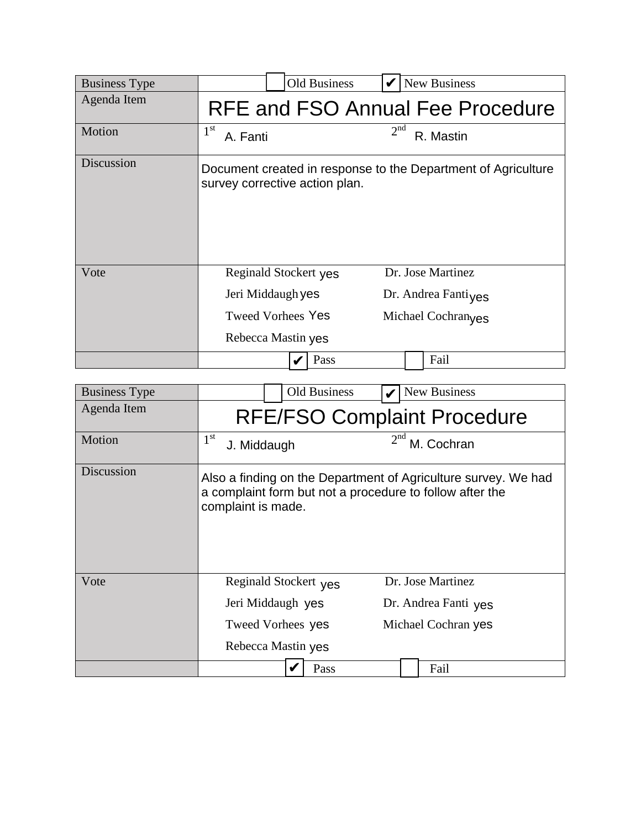| <b>Business Type</b> |                                                                        | <b>Old Business</b> |                 | <b>New Business</b>                                                        |
|----------------------|------------------------------------------------------------------------|---------------------|-----------------|----------------------------------------------------------------------------|
| Agenda Item          |                                                                        |                     |                 | RFE and FSO Annual Fee Procedure                                           |
| Motion               | 1 <sup>st</sup><br>A. Fanti                                            |                     | 2 <sup>nd</sup> | R. Mastin                                                                  |
| Discussion           | survey corrective action plan.                                         |                     |                 | Document created in response to the Department of Agriculture              |
| Vote                 | Reginald Stockert yes<br>Jeri Middaugh yes<br><b>Tweed Vorhees Yes</b> |                     |                 | Dr. Jose Martinez<br>Dr. Andrea Fantiyes<br>Michael Cochran <sub>ves</sub> |
|                      | Rebecca Mastin yes                                                     |                     |                 |                                                                            |
|                      |                                                                        | Pass                |                 | Fail                                                                       |

| <b>Business Type</b> | Old Business                                                                                                                                     | New Business                              |  |  |  |  |  |
|----------------------|--------------------------------------------------------------------------------------------------------------------------------------------------|-------------------------------------------|--|--|--|--|--|
| Agenda Item          | <b>RFE/FSO Complaint Procedure</b>                                                                                                               |                                           |  |  |  |  |  |
| Motion               | 2 <sup>nd</sup><br>$1^{\rm st}$<br>M. Cochran<br>J. Middaugh                                                                                     |                                           |  |  |  |  |  |
| Discussion           | Also a finding on the Department of Agriculture survey. We had<br>a complaint form but not a procedure to follow after the<br>complaint is made. |                                           |  |  |  |  |  |
| Vote                 | Reginald Stockert yes<br>Jeri Middaugh yes                                                                                                       | Dr. Jose Martinez<br>Dr. Andrea Fanti yes |  |  |  |  |  |
|                      | Tweed Vorhees yes                                                                                                                                | Michael Cochran yes                       |  |  |  |  |  |
|                      | Rebecca Mastin yes                                                                                                                               |                                           |  |  |  |  |  |
|                      | Pass                                                                                                                                             | Fail                                      |  |  |  |  |  |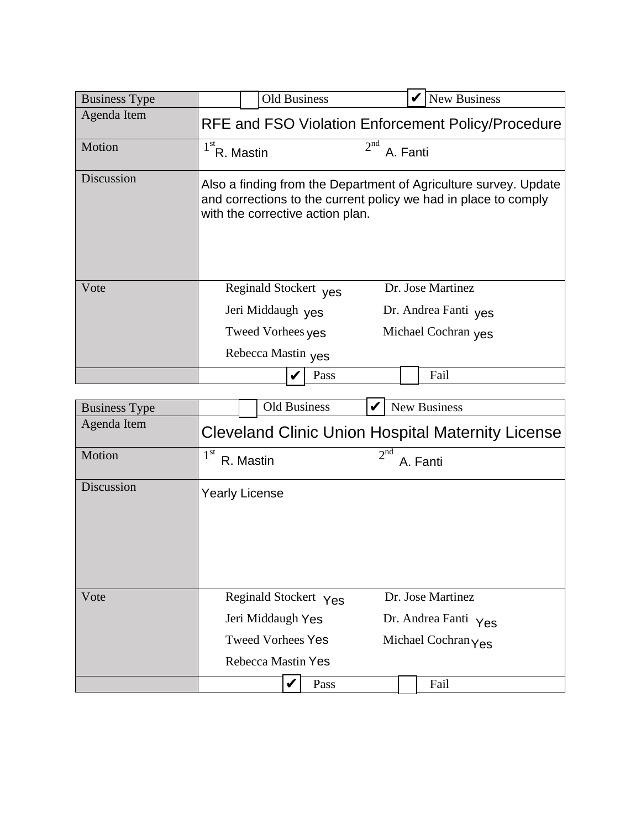| <b>Business Type</b> | <b>Old Business</b>                                |                             | <b>New Business</b>                                                                                                                 |  |  |  |  |
|----------------------|----------------------------------------------------|-----------------------------|-------------------------------------------------------------------------------------------------------------------------------------|--|--|--|--|
| Agenda Item          | RFE and FSO Violation Enforcement Policy/Procedure |                             |                                                                                                                                     |  |  |  |  |
| Motion               | $1st$ R. Mastin                                    | 2 <sup>nd</sup><br>A. Fanti |                                                                                                                                     |  |  |  |  |
| Discussion           | with the corrective action plan.                   |                             | Also a finding from the Department of Agriculture survey. Update<br>and corrections to the current policy we had in place to comply |  |  |  |  |
| Vote                 | Reginald Stockert yes                              |                             | Dr. Jose Martinez                                                                                                                   |  |  |  |  |
|                      | Jeri Middaugh yes                                  |                             | Dr. Andrea Fanti yes                                                                                                                |  |  |  |  |
|                      | Michael Cochran yes<br>Tweed Vorhees yes           |                             |                                                                                                                                     |  |  |  |  |
|                      | Rebecca Mastin yes                                 |                             |                                                                                                                                     |  |  |  |  |
|                      |                                                    | Pass                        | Fail                                                                                                                                |  |  |  |  |

| <b>Business Type</b> |                                                          | <b>Old Business</b>                                                                          |      | V                           | New Business                                                     |  |
|----------------------|----------------------------------------------------------|----------------------------------------------------------------------------------------------|------|-----------------------------|------------------------------------------------------------------|--|
| Agenda Item          | <b>Cleveland Clinic Union Hospital Maternity License</b> |                                                                                              |      |                             |                                                                  |  |
| Motion               | 1 <sup>st</sup><br>R. Mastin                             |                                                                                              |      | 2 <sup>nd</sup><br>A. Fanti |                                                                  |  |
| Discussion           | <b>Yearly License</b>                                    |                                                                                              |      |                             |                                                                  |  |
| Vote                 |                                                          | Reginald Stockert Yes<br>Jeri Middaugh Yes<br><b>Tweed Vorhees Yes</b><br>Rebecca Mastin Yes |      |                             | Dr. Jose Martinez<br>Dr. Andrea Fanti Yes<br>Michael Cochran Yes |  |
|                      |                                                          | V                                                                                            | Pass |                             | Fail                                                             |  |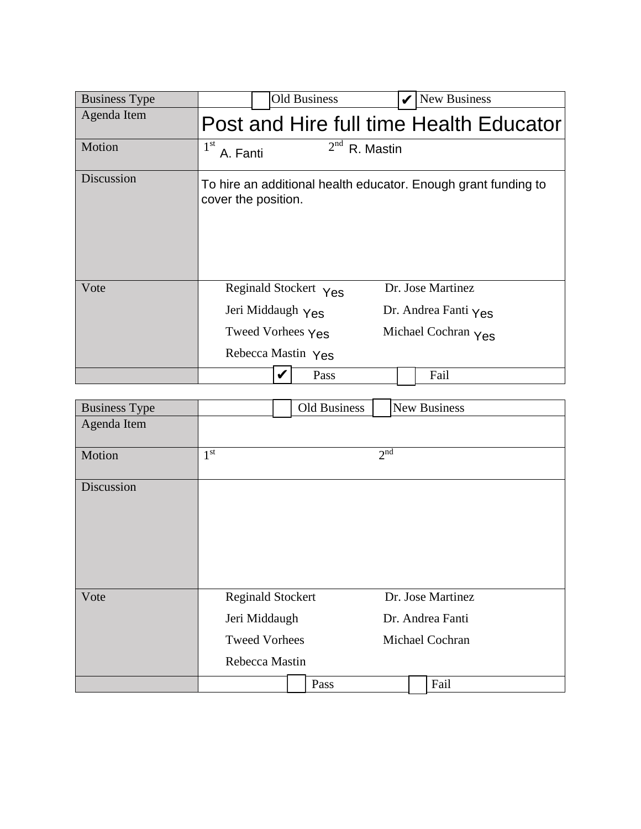| <b>Business Type</b> | <b>Old Business</b>                                                                   |                 | New Business                                                                      |
|----------------------|---------------------------------------------------------------------------------------|-----------------|-----------------------------------------------------------------------------------|
| Agenda Item          |                                                                                       |                 | Post and Hire full time Health Educator                                           |
| Motion               | $1^{\rm st}$<br>A. Fanti                                                              | $2nd$ R. Mastin |                                                                                   |
| Discussion           | cover the position.                                                                   |                 | To hire an additional health educator. Enough grant funding to                    |
| Vote                 | Reginald Stockert Yes<br>Jeri Middaugh Yes<br>Tweed Vorhees Yes<br>Rebecca Mastin Yes |                 | Dr. Jose Martinez<br>Dr. Andrea Fanti $\gamma_{\text{ES}}$<br>Michael Cochran Yes |
|                      |                                                                                       | Pass            | Fail                                                                              |

| <b>Business Type</b> |                                                                   | Old Business |                   | <b>New Business</b> |
|----------------------|-------------------------------------------------------------------|--------------|-------------------|---------------------|
| Agenda Item          |                                                                   |              |                   |                     |
| Motion               | 2 <sup>nd</sup><br>1 <sup>st</sup>                                |              |                   |                     |
| Discussion           |                                                                   |              |                   |                     |
|                      |                                                                   |              |                   |                     |
|                      |                                                                   |              |                   |                     |
|                      |                                                                   |              |                   |                     |
| Vote                 | <b>Reginald Stockert</b><br>Jeri Middaugh<br><b>Tweed Vorhees</b> |              | Dr. Jose Martinez |                     |
|                      |                                                                   |              | Dr. Andrea Fanti  |                     |
|                      |                                                                   |              | Michael Cochran   |                     |
|                      | Rebecca Mastin                                                    |              |                   |                     |
|                      |                                                                   | Pass         |                   | Fail                |